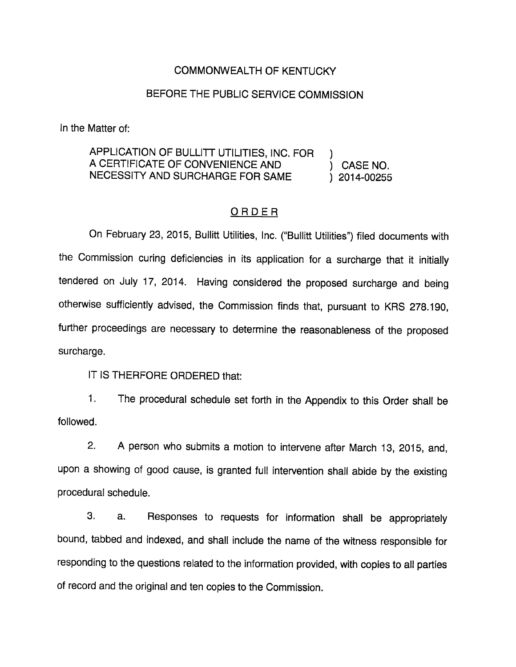#### COMMONWEALTH OF KENTUCKY

### BEFORE THE PUBLIC SERVICE COMMISSION

In the Matter of:

## APPLICATION OF BULLITT UTILITIES, INC. FOR ) A CERTIFICATE OF CONVENIENCE AND (CASE NO. NECESSITY AND SURCHARGE FOR SAME ) 2014-00255

#### ORDER

On February 23, 2015, Bullitt Utilities, Inc. ("Bullitt Utilities") filed documents with the Commission curing deficiencies in its application for a surcharge that it initially tendered on July 17, 2014. Having considered the proposed surcharge and being otherwise sufficiently advised, the Commission finds that, pursuant to KRS 278.190, further proceedings are necessary to determine the reasonableness of the proposed surcharge.

IT IS THERFORE ORDERED that:

1. The procedural schedule set forth in the Appendix to this Order shall be followed.

2. A person who submits a motion to intervene after March 13, 2015, and, upon a showing of good cause, is granted full intervention shall abide by the existing procedural schedule.

3. a. Responses to requests for information shall be appropriately bound, tabbed and indexed, and shall include the name of the witness responsible for responding to the questions related to the information provided, with copies to all parties of record and the original and ten copies to the Commission.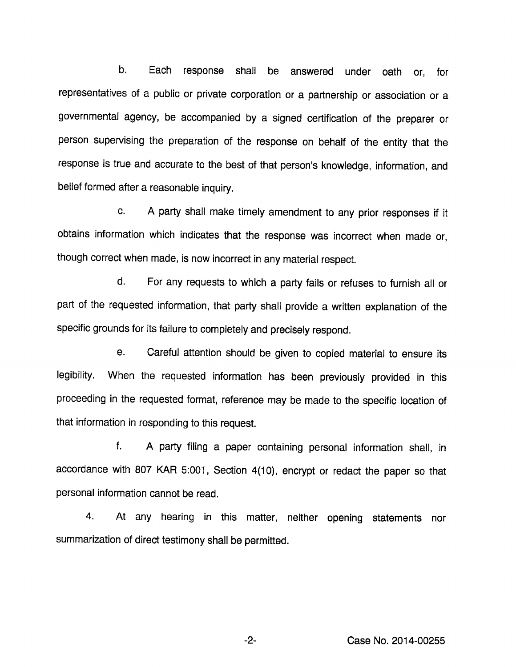b. Each response shall be answered under oath or, for representatives of a public or private corporation or a partnership or association or a governmental agency, be accompanied by a signed certification of the preparer or person supervising the preparation of the response on behalf of the entity that the response is true and accurate to the best of that person's knowledge, information, and belief formed after a reasonable inquiry.

c. A party shall make timely amendment to any prior responses if it obtains information which indicates that the response was incorrect when made or, though correct when made, is now incorrect in any material respect.

d. For any requests to which a party fails or refuses to furnish all or part of the requested information, that party shall provide a written explanation of the specific grounds for its failure to completely and precisely respond.

e. Careful attention should be given to copied material to ensure its legibility. When the requested information has been previously provided in this proceeding in the requested format, reference may be made to the specific location of that information in responding to this request.

f. A party filing a paper containing personal information shall, in accordance with 807 KAR 5:001, Section 4(10), encrypt or redact the paper so that personal information cannot be read.

4. At any hearing in this matter, neither opening statements nor summarization of direct testimony shall be permitted.

-2- Case No. 2014-00255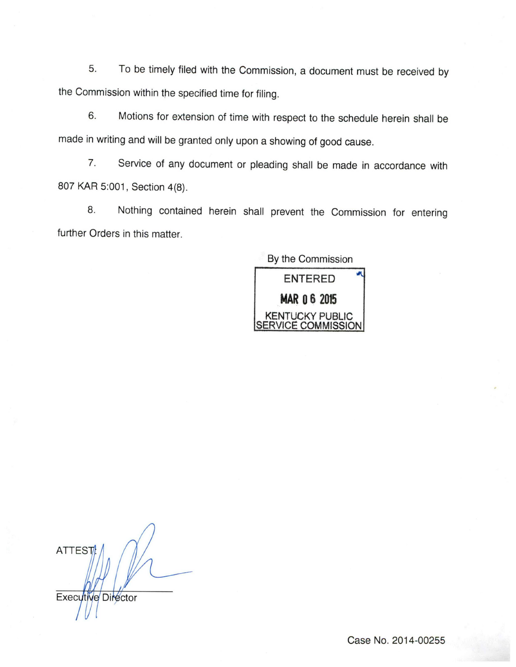5. To be timely filed with the Commission, a document must be received by the Commission within the specified time for filing.

6. Motions for extension of time with respect to the schedule herein shall be made in writing and will be granted only upon a showing of good cause.

7. Service of any document or pleading shall be made in accordance with 807 KAR 5:001, Section 4(8).

8. Nothing contained herein shall prevent the Commission for entering further Orders in this matter.

> By the Commission ENTERED MAR 0 6 2015 KENTUCKY PUBLIC **ISERVICE COMMISSION**

**ATTEST** Executive Director

Case No. 2014-00255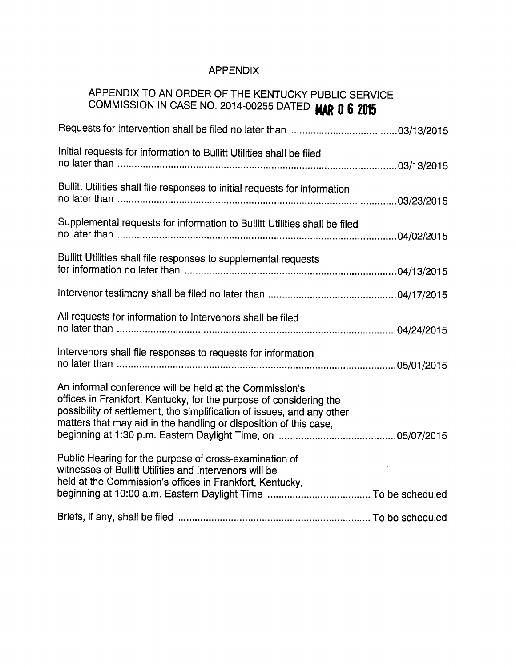# APPENDIX

# APPENDIX TO AN ORDER OF THE KENTUCKY PUBLIC SERVICE COMMISSION IN CASE NO. 2014-00255 DATED **MAR 0 6 2015**

| Initial requests for information to Bullitt Utilities shall be filed                                                                                                                                                                                                         |
|------------------------------------------------------------------------------------------------------------------------------------------------------------------------------------------------------------------------------------------------------------------------------|
| Bullitt Utilities shall file responses to initial requests for information                                                                                                                                                                                                   |
| Supplemental requests for information to Bullitt Utilities shall be filed                                                                                                                                                                                                    |
| Bullitt Utilities shall file responses to supplemental requests                                                                                                                                                                                                              |
|                                                                                                                                                                                                                                                                              |
| All requests for information to Intervenors shall be filed                                                                                                                                                                                                                   |
| Intervenors shall file responses to requests for information                                                                                                                                                                                                                 |
| An informal conference will be held at the Commission's<br>offices in Frankfort, Kentucky, for the purpose of considering the<br>possibility of settlement, the simplification of issues, and any other<br>matters that may aid in the handling or disposition of this case, |
| Public Hearing for the purpose of cross-examination of<br>witnesses of Bullitt Utilities and Intervenors will be<br>held at the Commission's offices in Frankfort, Kentucky,                                                                                                 |
|                                                                                                                                                                                                                                                                              |